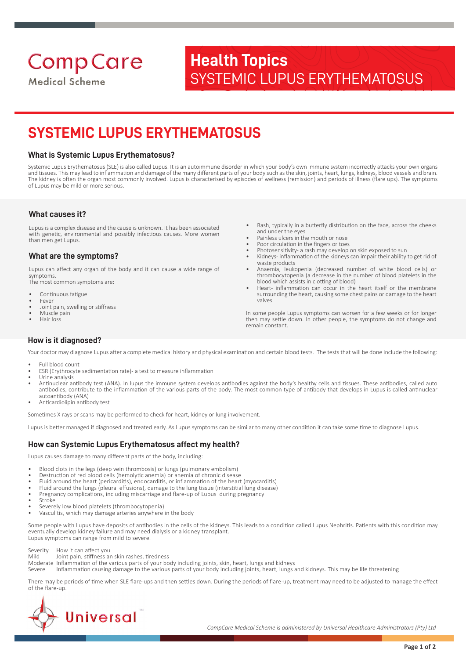# **Comp Care**

**Medical Scheme** 

## **Health Topics** SYSTEMIC LUPUS ERYTHEMATOSUS

### **SYSTEMIC LUPUS ERYTHEMATOSUS**

#### **What is Systemic Lupus Erythematosus?**

Systemic Lupus Erythematosus (SLE) is also called Lupus. It is an autoimmune disorder in which your body's own immune system incorrectly attacks your own organs and tissues. This may lead to inflammation and damage of the many different parts of your body such as the skin, joints, heart, lungs, kidneys, blood vessels and brain. The kidney is often the organ most commonly involved. Lupus is characterised by episodes of wellness (remission) and periods of illness (flare ups). The symptoms of Lupus may be mild or more serious.

#### **What causes it?**

Lupus is a complex disease and the cause is unknown. It has been associated with genetic, environmental and possibly infectious causes. More women than men get Lupus.

#### **What are the symptoms?**

Lupus can affect any organ of the body and it can cause a wide range of symptoms.

The most common symptoms are:

- Continuous fatigue
- Fever Joint pain, swelling or stiffness
- Muscle pain
- Hair loss
- Rash, typically in a butterfly distribution on the face, across the cheeks and under the eyes
- Painless ulcers in the mouth or nose
- Poor circulation in the fingers or toes
- Photosensitivity- a rash may develop on skin exposed to sun • Kidneys- inflammation of the kidneys can impair their ability to get rid of waste products
- Anaemia, leukopenia (decreased number of white blood cells) or thrombocytopenia (a decrease in the number of blood platelets in the blood which assists in clotting of blood)
- Heart- inflammation can occur in the heart itself or the membrane surrounding the heart, causing some chest pains or damage to the heart valves

In some people Lupus symptoms can worsen for a few weeks or for longer then may settle down. In other people, the symptoms do not change and remain constant.

#### **How is it diagnosed?**

Your doctor may diagnose Lupus after a complete medical history and physical examination and certain blood tests. The tests that will be done include the following:

- Full blood count
- ESR (Erythrocyte sedimentation rate)- a test to measure inflammation
- Urine analysis • Antinuclear antibody test (ANA). In lupus the immune system develops antibodies against the body's healthy cells and tissues. These antibodies, called auto antibodies, contribute to the inflammation of the various parts of the body. The most common type of antibody that develops in Lupus is called antinuclear autoantibody (ANA)
- Anticardiolipin antibody test

Sometimes X-rays or scans may be performed to check for heart, kidney or lung involvement.

Lupus is better managed if diagnosed and treated early. As Lupus symptoms can be similar to many other condition it can take some time to diagnose Lupus.

#### **How can Systemic Lupus Erythematosus affect my health?**

Lupus causes damage to many different parts of the body, including:

- Blood clots in the legs (deep vein thrombosis) or lungs (pulmonary embolism)
- Destruction of red blood cells (hemolytic anemia) or anemia of chronic disease
- Fluid around the heart (pericarditis), endocarditis, or inflammation of the heart (myocarditis)
- Fluid around the lungs (pleural effusions), damage to the lung tissue (interstitial lung disease)
- Pregnancy complications, including miscarriage and flare-up of Lupus during pregnancy
- **Stroke**
- Severely low blood platelets (thrombocytopenia) • Vasculitis, which may damage arteries anywhere in the body

Some people with Lupus have deposits of antibodies in the cells of the kidneys. This leads to a condition called Lupus Nephritis. Patients with this condition may eventually develop kidney failure and may need dialysis or a kidney transplant. Lupus symptoms can range from mild to severe.

Severity How it can affect you Mild Joint pain, stiffness an skin rashes, tiredness

Moderate Inflammation of the various parts of your body including joints, skin, heart, lungs and kidneys

Severe Inflammation causing damage to the various parts of your body including joints, heart, lungs and kidneys. This may be life threatening

There may be periods of time when SLE flare-ups and then settles down. During the periods of flare-up, treatment may need to be adjusted to manage the effect of the flare-up.